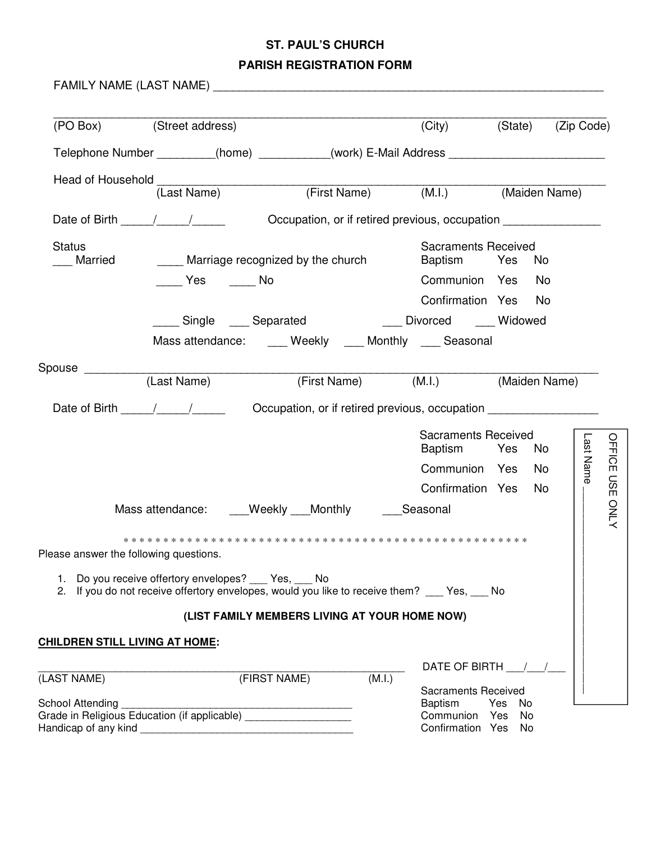## **ST. PAUL'S CHURCH**

## **PARISH REGISTRATION FORM**

FAMILY NAME (LAST NAME) \_\_\_\_\_\_\_\_\_\_\_\_\_\_\_\_\_\_\_\_\_\_\_\_\_\_\_\_\_\_\_\_\_\_\_\_\_\_\_\_\_\_\_\_\_\_\_\_\_\_\_\_\_\_\_\_\_\_\_\_

| (PO Box) (Street address)              |                                                                   |                                                                                                              | (City)                                       |            | (State) (Zip Code)  |
|----------------------------------------|-------------------------------------------------------------------|--------------------------------------------------------------------------------------------------------------|----------------------------------------------|------------|---------------------|
|                                        |                                                                   | Telephone Number _________(home) _________(work) E-Mail Address _________________                            |                                              |            |                     |
|                                        |                                                                   |                                                                                                              |                                              |            |                     |
|                                        |                                                                   | Head of Household (Last Name) (First Name) (M.I.) (Maiden Name)                                              |                                              |            |                     |
|                                        |                                                                   |                                                                                                              |                                              |            |                     |
| <b>Status</b><br>Married               | Marriage recognized by the church                                 |                                                                                                              | <b>Sacraments Received</b><br>Baptism Yes    | No         |                     |
|                                        | No Yes No                                                         |                                                                                                              | Communion Yes                                | No         |                     |
|                                        |                                                                   |                                                                                                              | Confirmation Yes No                          |            |                     |
|                                        |                                                                   | ____ Single ____ Separated ____ ___ Divorced ____ Widowed                                                    |                                              |            |                     |
|                                        |                                                                   | Mass attendance: Weekly Monthly Seasonal                                                                     |                                              |            |                     |
| Spouse <b>Exercise</b>                 |                                                                   |                                                                                                              |                                              |            |                     |
|                                        |                                                                   | (Last Name) (First Name) (M.I.) (Maiden Name)                                                                |                                              |            |                     |
|                                        |                                                                   | Date of Birth 1997 / Cocupation, or if retired previous, occupation                                          |                                              |            |                     |
|                                        |                                                                   |                                                                                                              | <b>Sacraments Received</b><br>Baptism Yes    | No         | Last Name<br>OFFICE |
|                                        |                                                                   |                                                                                                              | Communion Yes                                | No         |                     |
|                                        |                                                                   |                                                                                                              | Confirmation Yes                             | No         | <b>USE</b>          |
|                                        |                                                                   | Mass attendance: ____Weekly ___Monthly _______Seasonal                                                       |                                              |            | <b>ONLY</b>         |
| Please answer the following questions. |                                                                   |                                                                                                              |                                              |            |                     |
|                                        | 1. Do you receive offertory envelopes?                            | Yes,<br>No.<br>2. If you do not receive offertory envelopes, would you like to receive them? ___ Yes, ___ No |                                              |            |                     |
|                                        |                                                                   | (LIST FAMILY MEMBERS LIVING AT YOUR HOME NOW)                                                                |                                              |            |                     |
| <u>CHILDREN STILL LIVING AT HOME:</u>  |                                                                   |                                                                                                              |                                              |            |                     |
|                                        |                                                                   |                                                                                                              |                                              |            |                     |
| (LAST NAME)                            |                                                                   | (FIRST NAME)<br>(M.I.)                                                                                       | DATE OF BIRTH 1                              |            |                     |
| School Attending                       |                                                                   |                                                                                                              | <b>Sacraments Received</b><br><b>Baptism</b> | Yes No     |                     |
|                                        | Grade in Religious Education (if applicable) ____________________ |                                                                                                              | Communion                                    | Yes<br>No. |                     |
| Handicap of any kind                   |                                                                   |                                                                                                              | Confirmation Yes                             | No         |                     |